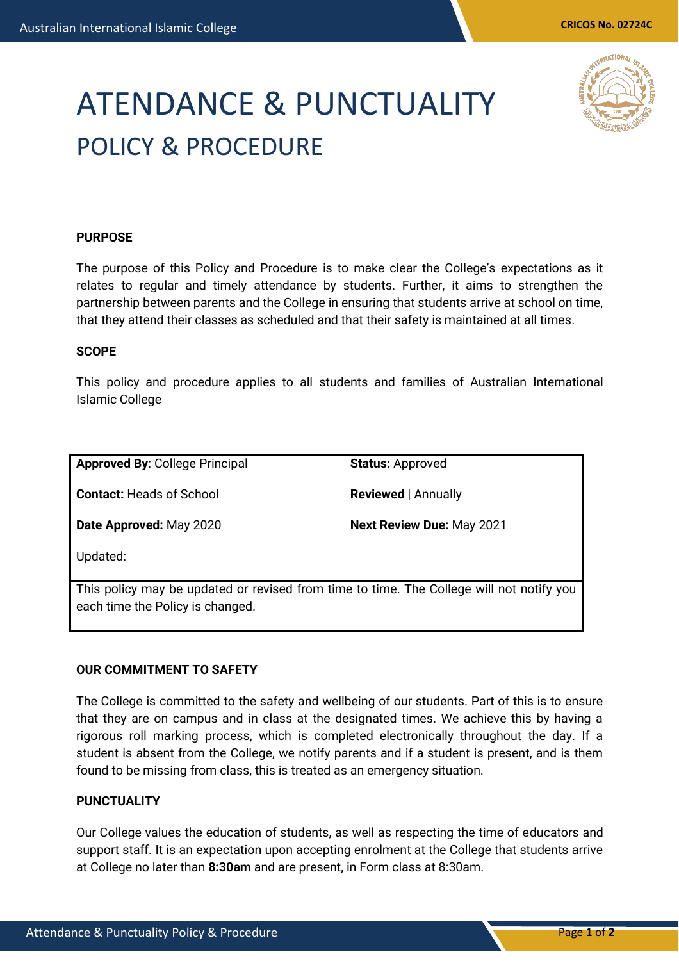# ATENDANCE & PUNCTUALITY POLICY & PROCEDURE

# **PURPOSE**

The purpose of this Policy and Procedure is to make clear the College's expectations as it relates to regular and timely attendance by students. Further, it aims to strengthen the partnership between parents and the College in ensuring that students arrive at school on time, that they attend their classes as scheduled and that their safety is maintained at all times.

#### **SCOPE**

This policy and procedure applies to all students and families of Australian International Islamic College

**Approved By**: College Principal

**Status:** Approved

**Contact:** Heads of School

**Reviewed** | Annually

**Date Approved:** May 2020

**Next Review Due:** May 2021

Updated:

This policy may be updated or revised from time to time. The College will not notify you each time the Policy is changed.

# **OUR COMMITMENT TO SAFETY**

The College is committed to the safety and wellbeing of our students. Part of this is to ensure that they are on campus and in class at the designated times. We achieve this by having a rigorous roll marking process, which is completed electronically throughout the day. If a student is absent from the College, we notify parents and if a student is present, and is them found to be missing from class, this is treated as an emergency situation.

## **PUNCTUALITY**

Our College values the education of students, as well as respecting the time of educators and support staff. It is an expectation upon accepting enrolment at the College that students arrive at College no later than **8:30am** and are present, in Form class at 8:30am.